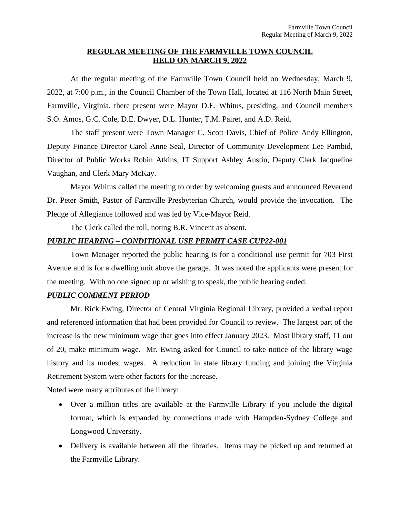## **REGULAR MEETING OF THE FARMVILLE TOWN COUNCIL HELD ON MARCH 9, 2022**

At the regular meeting of the Farmville Town Council held on Wednesday, March 9, 2022, at 7:00 p.m., in the Council Chamber of the Town Hall, located at 116 North Main Street, Farmville, Virginia, there present were Mayor D.E. Whitus, presiding, and Council members S.O. Amos, G.C. Cole, D.E. Dwyer, D.L. Hunter, T.M. Pairet, and A.D. Reid.

The staff present were Town Manager C. Scott Davis, Chief of Police Andy Ellington, Deputy Finance Director Carol Anne Seal, Director of Community Development Lee Pambid, Director of Public Works Robin Atkins, IT Support Ashley Austin, Deputy Clerk Jacqueline Vaughan, and Clerk Mary McKay.

Mayor Whitus called the meeting to order by welcoming guests and announced Reverend Dr. Peter Smith, Pastor of Farmville Presbyterian Church, would provide the invocation. The Pledge of Allegiance followed and was led by Vice-Mayor Reid.

The Clerk called the roll, noting B.R. Vincent as absent.

## *PUBLIC HEARING – CONDITIONAL USE PERMIT CASE CUP22-001*

Town Manager reported the public hearing is for a conditional use permit for 703 First Avenue and is for a dwelling unit above the garage. It was noted the applicants were present for the meeting. With no one signed up or wishing to speak, the public hearing ended.

## *PUBLIC COMMENT PERIOD*

Mr. Rick Ewing, Director of Central Virginia Regional Library, provided a verbal report and referenced information that had been provided for Council to review. The largest part of the increase is the new minimum wage that goes into effect January 2023. Most library staff, 11 out of 20, make minimum wage. Mr. Ewing asked for Council to take notice of the library wage history and its modest wages. A reduction in state library funding and joining the Virginia Retirement System were other factors for the increase.

Noted were many attributes of the library:

- Over a million titles are available at the Farmville Library if you include the digital format, which is expanded by connections made with Hampden-Sydney College and Longwood University.
- Delivery is available between all the libraries. Items may be picked up and returned at the Farmville Library.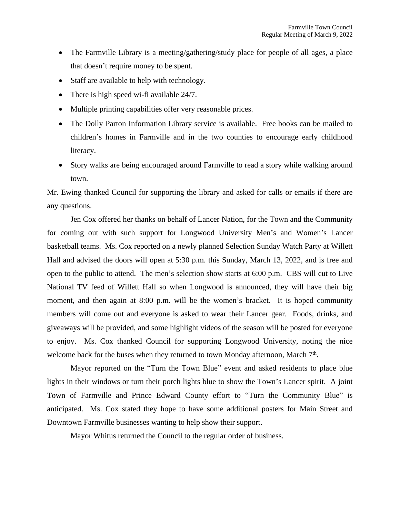- The Farmville Library is a meeting/gathering/study place for people of all ages, a place that doesn't require money to be spent.
- Staff are available to help with technology.
- There is high speed wi-fi available 24/7.
- Multiple printing capabilities offer very reasonable prices.
- The Dolly Parton Information Library service is available. Free books can be mailed to children's homes in Farmville and in the two counties to encourage early childhood literacy.
- Story walks are being encouraged around Farmville to read a story while walking around town.

Mr. Ewing thanked Council for supporting the library and asked for calls or emails if there are any questions.

Jen Cox offered her thanks on behalf of Lancer Nation, for the Town and the Community for coming out with such support for Longwood University Men's and Women's Lancer basketball teams. Ms. Cox reported on a newly planned Selection Sunday Watch Party at Willett Hall and advised the doors will open at 5:30 p.m. this Sunday, March 13, 2022, and is free and open to the public to attend. The men's selection show starts at 6:00 p.m. CBS will cut to Live National TV feed of Willett Hall so when Longwood is announced, they will have their big moment, and then again at 8:00 p.m. will be the women's bracket. It is hoped community members will come out and everyone is asked to wear their Lancer gear. Foods, drinks, and giveaways will be provided, and some highlight videos of the season will be posted for everyone to enjoy. Ms. Cox thanked Council for supporting Longwood University, noting the nice welcome back for the buses when they returned to town Monday afternoon, March 7<sup>th</sup>.

Mayor reported on the "Turn the Town Blue" event and asked residents to place blue lights in their windows or turn their porch lights blue to show the Town's Lancer spirit. A joint Town of Farmville and Prince Edward County effort to "Turn the Community Blue" is anticipated. Ms. Cox stated they hope to have some additional posters for Main Street and Downtown Farmville businesses wanting to help show their support.

Mayor Whitus returned the Council to the regular order of business.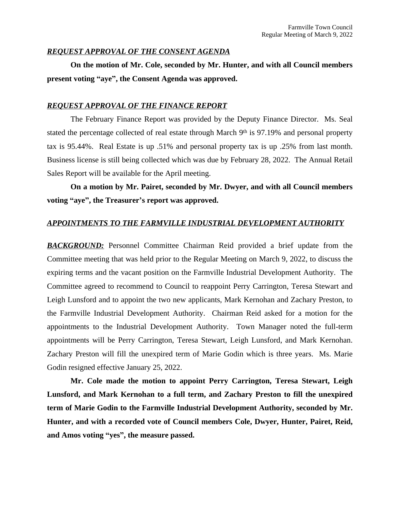### *REQUEST APPROVAL OF THE CONSENT AGENDA*

**On the motion of Mr. Cole, seconded by Mr. Hunter, and with all Council members present voting "aye", the Consent Agenda was approved.**

### *REQUEST APPROVAL OF THE FINANCE REPORT*

The February Finance Report was provided by the Deputy Finance Director. Ms. Seal stated the percentage collected of real estate through March 9<sup>th</sup> is 97.19% and personal property tax is 95.44%. Real Estate is up .51% and personal property tax is up .25% from last month. Business license is still being collected which was due by February 28, 2022. The Annual Retail Sales Report will be available for the April meeting.

**On a motion by Mr. Pairet, seconded by Mr. Dwyer, and with all Council members voting "aye", the Treasurer's report was approved.**

## *APPOINTMENTS TO THE FARMVILLE INDUSTRIAL DEVELOPMENT AUTHORITY*

**BACKGROUND:** Personnel Committee Chairman Reid provided a brief update from the Committee meeting that was held prior to the Regular Meeting on March 9, 2022, to discuss the expiring terms and the vacant position on the Farmville Industrial Development Authority. The Committee agreed to recommend to Council to reappoint Perry Carrington, Teresa Stewart and Leigh Lunsford and to appoint the two new applicants, Mark Kernohan and Zachary Preston, to the Farmville Industrial Development Authority. Chairman Reid asked for a motion for the appointments to the Industrial Development Authority. Town Manager noted the full-term appointments will be Perry Carrington, Teresa Stewart, Leigh Lunsford, and Mark Kernohan. Zachary Preston will fill the unexpired term of Marie Godin which is three years. Ms. Marie Godin resigned effective January 25, 2022.

**Mr. Cole made the motion to appoint Perry Carrington, Teresa Stewart, Leigh Lunsford, and Mark Kernohan to a full term, and Zachary Preston to fill the unexpired term of Marie Godin to the Farmville Industrial Development Authority, seconded by Mr. Hunter, and with a recorded vote of Council members Cole, Dwyer, Hunter, Pairet, Reid, and Amos voting "yes", the measure passed.**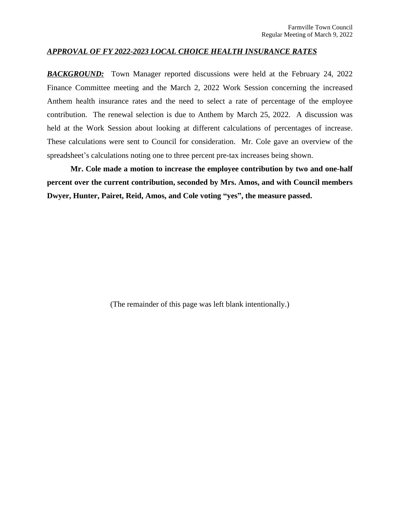#### *APPROVAL OF FY 2022-2023 LOCAL CHOICE HEALTH INSURANCE RATES*

*BACKGROUND:* Town Manager reported discussions were held at the February 24, 2022 Finance Committee meeting and the March 2, 2022 Work Session concerning the increased Anthem health insurance rates and the need to select a rate of percentage of the employee contribution. The renewal selection is due to Anthem by March 25, 2022. A discussion was held at the Work Session about looking at different calculations of percentages of increase. These calculations were sent to Council for consideration. Mr. Cole gave an overview of the spreadsheet's calculations noting one to three percent pre-tax increases being shown.

**Mr. Cole made a motion to increase the employee contribution by two and one-half percent over the current contribution, seconded by Mrs. Amos, and with Council members Dwyer, Hunter, Pairet, Reid, Amos, and Cole voting "yes", the measure passed.**

(The remainder of this page was left blank intentionally.)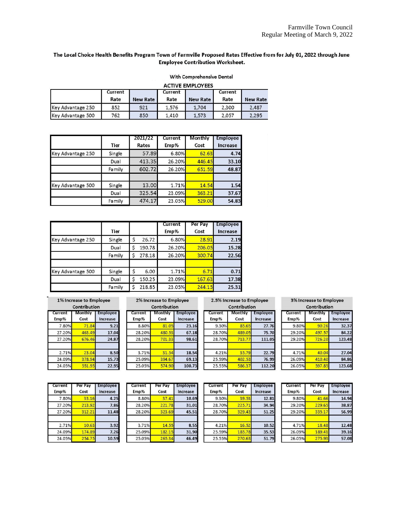#### The Local Choice Health Benefits Program Town of Farmville Proposed Rates Effective from for July 01, 2022 through June **Employee Contribution Worksheet.**

With Comprehensive Dental

```
ACTIVE EMPLOYEES
```

|                    | Current<br>Rate | <b>New Rate</b> | Current<br>Rate | <b>New Rate</b> | <b>Current</b><br>Rate | <b>New Rate</b> |
|--------------------|-----------------|-----------------|-----------------|-----------------|------------------------|-----------------|
| IKev Advantage 250 | 852             | 921             | 1,576           | 1.704           | 2.300                  | 2,487           |
| Key Advantage 500  | 762             | 850             | 1.410           | 1.573           | 2.057                  | 2,295           |

|                   | Tier   | 2021/22<br>Rates | Current<br>Emp% | Monthly<br>Cost | <b>Employee</b><br>Increase |
|-------------------|--------|------------------|-----------------|-----------------|-----------------------------|
| Key Advantage 250 | Single | 57.89            | 6.80%           | 62.63           | 4.74                        |
|                   | Dual   | 413.35           | 26.20%          | 446.45          | 33.10                       |
|                   | Family | 602.72           | 26.20%          | 651.59          | 48.87                       |
| Key Advantage 500 | Single | 13.00            | 1.71%           | 14.54           | 1.54                        |
|                   | Dual   | 325.54           | 23.09%          | 363,21          | 37.67                       |
|                   | Family | 474.17           | 23.05%          | 529.00          | 54.83                       |

|                   | Tier          |              | Current<br>Emp% | Per Pay<br>Cost | <b>Employee</b><br>Increase |
|-------------------|---------------|--------------|-----------------|-----------------|-----------------------------|
| Key Advantage 250 | Single        | 2672<br>\$   | 6.80%           | 28.91           | 2.19                        |
|                   | Dual          | \$<br>190.78 | 26.20%          | 206.05          | 15.28                       |
|                   | Family        | 278.18<br>Ś  | 26.20%          | 300.74          | 22.56                       |
| Key Advantage 500 | Single        | \$<br>6.00   | 1.71%           | 6.71            | 0.71                        |
|                   | Dual          | 150.25<br>\$ | 23.09%          | 167.63          | 17.38                       |
|                   | <b>Family</b> | 218.85<br>Ś  | 23.05%          | 244.15          | 25.31                       |

Current

Emp%

8.80%

28.20%

28.20%

 $3.71%$ 

25.09%

25.05%

1% Increase to Employee Contribution Current Monthly Employee Emp% Cost Increase 7.80%  $71.84$  $9.21$ 463.49 17.04 27.20% 27.20% 676.46 24.87 2.71% 23.04  $8.50$ 24.09% 378.94  $15.73$ 24.05% 551.95 22.95

| 2% Increase to Employee |  |
|-------------------------|--|
| Contribution            |  |

 $\overline{a}$ 2.5% Increase to Employee

| ontribution.    |                      |
|-----------------|----------------------|
| Monthly<br>Cost | Monthly<br>Е<br>Cost |
| 81.05           | 85.65                |
| 480.53          | 489.05               |
| 701.33          | 713.77               |
| 31.54           | 35.79                |
| 394.67          | 402.53               |
| 574.90          | 586.37               |
|                 |                      |

|               |                 | Contribution    |                             |  |  |  |
|---------------|-----------------|-----------------|-----------------------------|--|--|--|
| loyee<br>ease | Current<br>Emp% | Monthly<br>Cost | <b>Employee</b><br>Increase |  |  |  |
| 27.76         | 9.80%           | 90.26           | 32.37                       |  |  |  |
| 75            | 2920%           |                 | 2:                          |  |  |  |

29.20%

4.71%

26.09%

26.05%

3% Increase to Employee

 $726.20$ 

40.04

410.40

597.85

32.37 84.22

123.48

27.04

84.86

123.68

| Current | Per Pav | <b>Employee</b> |
|---------|---------|-----------------|
| Emp%    | Cost    | <b>Increase</b> |
| 7.80%   | 33.16   | 4.25            |
| 27.20%  | 213.92  | 7.86            |
| 27.20%  | 312.21  | 11.48           |
| 2.71%   | 10.63   | 3.92            |
| 24.09%  | 174.89  | 7.26            |
| 24.05%  | 254.75  | 10.59           |

| Current<br>Emp% | Per Pay<br>Cost | <b>Employee</b><br>Increase |  |
|-----------------|-----------------|-----------------------------|--|
| 8.80%           | 37.41           | 10.69                       |  |
| 28.20%          | 221.78          | 31.01                       |  |
| 28.20%          | 323.69          | 45.51                       |  |
| 3.71%           | 14.55           | 8.55                        |  |
| 25.09%          | 182.15          | 31.90                       |  |
| 25.05%          | 265.34          | 46.49                       |  |

| Current<br>Emp% | Per Pav<br>Cost | <b>Employee</b><br><b>Increase</b> |  |
|-----------------|-----------------|------------------------------------|--|
| 9.30%           | 39.53           | 12.81                              |  |
| 28.70%          | 225.71          | 34.94                              |  |
| 28.70%          | 329.43          | 51.25                              |  |
| 4.21%           | 16.52           | 10.52                              |  |
| 25.59%          | 185.78          | 35.53                              |  |
| 25.55%          | 270.63          | 51.79                              |  |

Employe

Increase

75.

111.05

22.79

76.99

112.20

| Current<br>Emp% | Per Pay<br>Cost | <b>Employee</b><br>Increase |
|-----------------|-----------------|-----------------------------|
| 9.80%           | 41.66           | 14.94                       |
| 29.20%          | 229.65          | 38.87                       |
| 29.20%          | 335.17          | 56.99                       |
| 4.71%           | 18.48           | 12.48                       |
| 26.09%          | 189.41          | 39.16                       |
| 26.05%          | 275.93          | 57.08                       |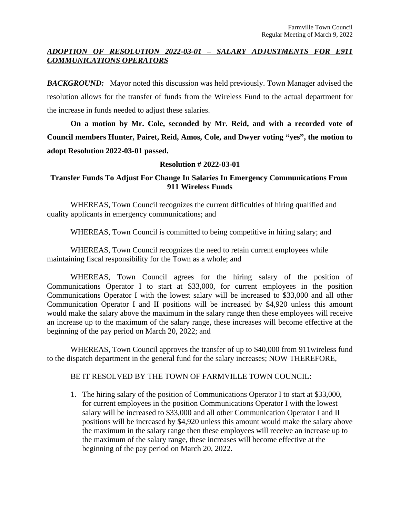# *ADOPTION OF RESOLUTION 2022-03-01 – SALARY ADJUSTMENTS FOR E911 COMMUNICATIONS OPERATORS*

**BACKGROUND:** Mayor noted this discussion was held previously. Town Manager advised the resolution allows for the transfer of funds from the Wireless Fund to the actual department for the increase in funds needed to adjust these salaries.

**On a motion by Mr. Cole, seconded by Mr. Reid, and with a recorded vote of Council members Hunter, Pairet, Reid, Amos, Cole, and Dwyer voting "yes" , the motion to adopt Resolution 2022-03-01 passed.** 

# **Resolution # 2022-03-01**

# **Transfer Funds To Adjust For Change In Salaries In Emergency Communications From 911 Wireless Funds**

WHEREAS, Town Council recognizes the current difficulties of hiring qualified and quality applicants in emergency communications; and

WHEREAS, Town Council is committed to being competitive in hiring salary; and

WHEREAS, Town Council recognizes the need to retain current employees while maintaining fiscal responsibility for the Town as a whole; and

WHEREAS, Town Council agrees for the hiring salary of the position of Communications Operator I to start at \$33,000, for current employees in the position Communications Operator I with the lowest salary will be increased to \$33,000 and all other Communication Operator I and II positions will be increased by \$4,920 unless this amount would make the salary above the maximum in the salary range then these employees will receive an increase up to the maximum of the salary range, these increases will become effective at the beginning of the pay period on March 20, 2022; and

WHEREAS, Town Council approves the transfer of up to \$40,000 from 911wireless fund to the dispatch department in the general fund for the salary increases; NOW THEREFORE,

BE IT RESOLVED BY THE TOWN OF FARMVILLE TOWN COUNCIL:

1. The hiring salary of the position of Communications Operator I to start at \$33,000, for current employees in the position Communications Operator I with the lowest salary will be increased to \$33,000 and all other Communication Operator I and II positions will be increased by \$4,920 unless this amount would make the salary above the maximum in the salary range then these employees will receive an increase up to the maximum of the salary range, these increases will become effective at the beginning of the pay period on March 20, 2022.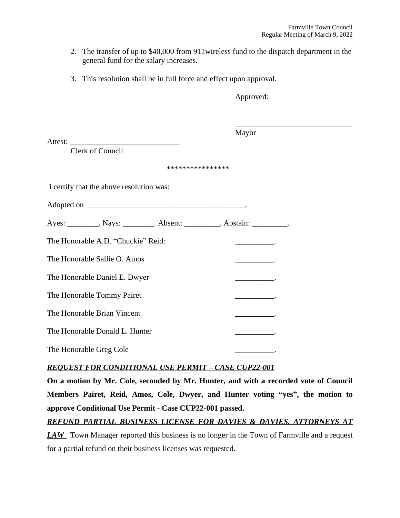- 2. The transfer of up to \$40,000 from 911wireless fund to the dispatch department in the general fund for the salary increases.
- 3. This resolution shall be in full force and effect upon approval.

Approved:

| Attest:                                                                     | Mayor |
|-----------------------------------------------------------------------------|-------|
| Clerk of Council                                                            |       |
| ****************                                                            |       |
| I certify that the above resolution was:                                    |       |
|                                                                             |       |
| Ayes: __________. Nays: __________. Absent: __________. Abstain: _________. |       |
| The Honorable A.D. "Chuckie" Reid:                                          |       |
| The Honorable Sallie O. Amos                                                |       |
| The Honorable Daniel E. Dwyer                                               |       |
| The Honorable Tommy Pairet                                                  |       |
| The Honorable Brian Vincent                                                 |       |
| The Honorable Donald L. Hunter                                              |       |
| The Honorable Greg Cole                                                     |       |

# *REQUEST FOR CONDITIONAL USE PERMIT – CASE CUP22-001*

**On a motion by Mr. Cole, seconded by Mr. Hunter, and with a recorded vote of Council Members Pairet, Reid, Amos, Cole, Dwyer, and Hunter voting "yes" , the motion to approve Conditional Use Permit - Case CUP22-001 passed.**

*REFUND PARTIAL BUSINESS LICENSE FOR DAVIES & DAVIES, ATTORNEYS AT*

*LAW* Town Manager reported this business is no longer in the Town of Farmville and a request for a partial refund on their business licenses was requested.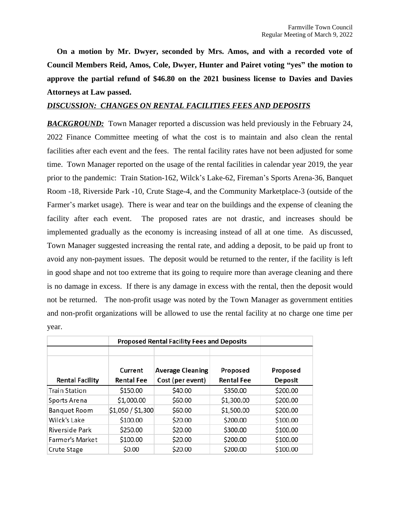**On a motion by Mr. Dwyer, seconded by Mrs. Amos, and with a recorded vote of Council Members Reid, Amos, Cole, Dwyer, Hunter and Pairet voting "yes" the motion to approve the partial refund of \$46.80 on the 2021 business license to Davies and Davies Attorneys at Law passed.**

## *DISCUSSION: CHANGES ON RENTAL FACILITIES FEES AND DEPOSITS*

**BACKGROUND:** Town Manager reported a discussion was held previously in the February 24, 2022 Finance Committee meeting of what the cost is to maintain and also clean the rental facilities after each event and the fees. The rental facility rates have not been adjusted for some time. Town Manager reported on the usage of the rental facilities in calendar year 2019, the year prior to the pandemic: Train Station-162, Wilck's Lake-62, Fireman's Sports Arena-36, Banquet Room -18, Riverside Park -10, Crute Stage-4, and the Community Marketplace-3 (outside of the Farmer's market usage). There is wear and tear on the buildings and the expense of cleaning the facility after each event. The proposed rates are not drastic, and increases should be implemented gradually as the economy is increasing instead of all at one time. As discussed, Town Manager suggested increasing the rental rate, and adding a deposit, to be paid up front to avoid any non-payment issues. The deposit would be returned to the renter, if the facility is left in good shape and not too extreme that its going to require more than average cleaning and there is no damage in excess. If there is any damage in excess with the rental, then the deposit would not be returned. The non-profit usage was noted by the Town Manager as government entities and non-profit organizations will be allowed to use the rental facility at no charge one time per year.

|                        | <b>Proposed Rental Facility Fees and Deposits</b> |                         |                   |          |
|------------------------|---------------------------------------------------|-------------------------|-------------------|----------|
|                        |                                                   |                         |                   |          |
|                        | Current                                           | <b>Average Cleaning</b> | Proposed          | Proposed |
| <b>Rental Facility</b> | <b>Rental Fee</b>                                 | Cost (per event)        | <b>Rental Fee</b> | Deposit  |
| <b>Train Station</b>   | \$150.00                                          | \$40.00                 | \$350.00          | \$200.00 |
| Sports Arena           | \$1,000.00                                        | \$60.00                 | \$1,300.00        | \$200.00 |
| Banquet Room           | \$1,050 / \$1,300                                 | \$60.00                 | \$1,500.00        | \$200.00 |
| Wilck's Lake           | \$100.00                                          | \$20.00                 | \$200.00          | \$100.00 |
| Riverside Park         | \$250.00                                          | \$20.00                 | \$300.00          | \$100.00 |
| Farmer's Market        | \$100.00                                          | \$20.00                 | \$200.00          | \$100.00 |
| Crute Stage            | \$0.00                                            | \$20.00                 | \$200.00          | \$100.00 |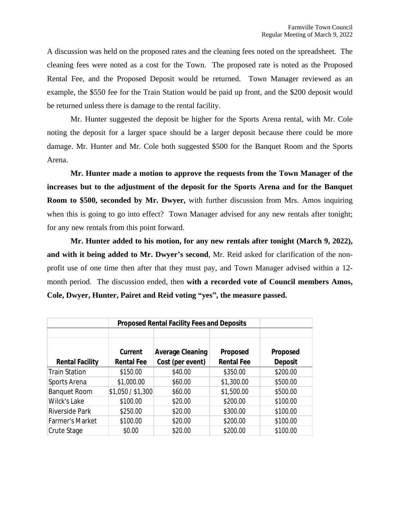A discussion was held on the proposed rates and the cleaning fees noted on the spreadsheet. The cleaning fees were noted as a cost for the Town. The proposed rate is noted as the Proposed Rental Fee, and the Proposed Deposit would be returned. Town Manager reviewed as an example, the \$550 fee for the Train Station would be paid up front, and the \$200 deposit would be returned unless there is damage to the rental facility.

Mr. Hunter suggested the deposit be higher for the Sports Arena rental, with Mr. Cole noting the deposit for a larger space should be a larger deposit because there could be more damage. Mr. Hunter and Mr. Cole both suggested \$500 for the Banquet Room and the Sports Arena.

**Mr. Hunter made a motion to approve the requests from the Town Manager of the increases but to the adjustment of the deposit for the Sports Arena and for the Banquet Room to \$500, seconded by Mr. Dwyer,** with further discussion from Mrs. Amos inquiring when this is going to go into effect? Town Manager advised for any new rentals after tonight; for any new rentals from this point forward.

**Mr. Hunter added to his motion, for any new rentals after tonight (March 9, 2022), and with it being added to Mr. Dwyer's second**, Mr. Reid asked for clarification of the nonprofit use of one time then after that they must pay, and Town Manager advised within a 12 month period. The discussion ended, then **with a recorded vote of Council members Amos, Cole, Dwyer, Hunter, Pairet and Reid voting "yes", the measure passed.**

|                        | <b>Proposed Rental Facility Fees and Deposits</b> |                         |                   |                |
|------------------------|---------------------------------------------------|-------------------------|-------------------|----------------|
|                        |                                                   |                         |                   |                |
|                        | <b>Current</b>                                    | <b>Average Cleaning</b> | Proposed          | Proposed       |
| <b>Rental Facility</b> | <b>Rental Fee</b>                                 | Cost (per event)        | <b>Rental Fee</b> | <b>Deposit</b> |
| <b>Train Station</b>   | \$150.00                                          | \$40.00                 | \$350.00          | \$200.00       |
| Sports Arena           | \$1,000.00                                        | \$60.00                 | \$1,300.00        | \$500.00       |
| <b>Banquet Room</b>    | \$1,050 / \$1,300                                 | \$60.00                 | \$1,500.00        | \$500.00       |
| Wilck's Lake           | \$100.00                                          | \$20.00                 | \$200.00          | \$100.00       |
| <b>Riverside Park</b>  | \$250.00                                          | \$20.00                 | \$300.00          | \$100.00       |
| <b>Farmer's Market</b> | \$100.00                                          | \$20.00                 | \$200.00          | \$100.00       |
| Crute Stage            | \$0.00                                            | \$20.00                 | \$200.00          | \$100.00       |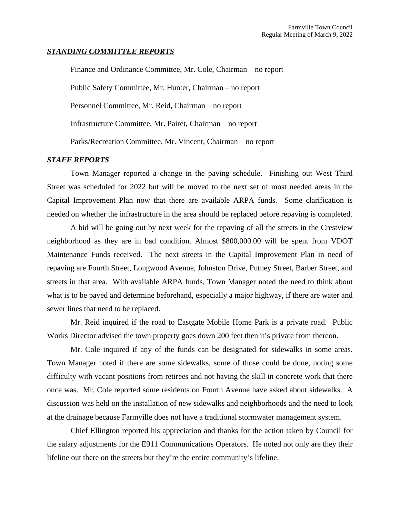#### *STANDING COMMITTEE REPORTS*

Finance and Ordinance Committee, Mr. Cole, Chairman – no report Public Safety Committee, Mr. Hunter, Chairman – no report Personnel Committee, Mr. Reid, Chairman – no report Infrastructure Committee, Mr. Pairet, Chairman – no report Parks/Recreation Committee, Mr. Vincent, Chairman – no report

### *STAFF REPORTS*

Town Manager reported a change in the paving schedule. Finishing out West Third Street was scheduled for 2022 but will be moved to the next set of most needed areas in the Capital Improvement Plan now that there are available ARPA funds. Some clarification is needed on whether the infrastructure in the area should be replaced before repaving is completed.

A bid will be going out by next week for the repaving of all the streets in the Crestview neighborhood as they are in bad condition. Almost \$800,000.00 will be spent from VDOT Maintenance Funds received. The next streets in the Capital Improvement Plan in need of repaving are Fourth Street, Longwood Avenue, Johnston Drive, Putney Street, Barber Street, and streets in that area. With available ARPA funds, Town Manager noted the need to think about what is to be paved and determine beforehand, especially a major highway, if there are water and sewer lines that need to be replaced.

Mr. Reid inquired if the road to Eastgate Mobile Home Park is a private road. Public Works Director advised the town property goes down 200 feet then it's private from thereon.

Mr. Cole inquired if any of the funds can be designated for sidewalks in some areas. Town Manager noted if there are some sidewalks, some of those could be done, noting some difficulty with vacant positions from retirees and not having the skill in concrete work that there once was. Mr. Cole reported some residents on Fourth Avenue have asked about sidewalks. A discussion was held on the installation of new sidewalks and neighborhoods and the need to look at the drainage because Farmville does not have a traditional stormwater management system.

Chief Ellington reported his appreciation and thanks for the action taken by Council for the salary adjustments for the E911 Communications Operators. He noted not only are they their lifeline out there on the streets but they're the entire community's lifeline.